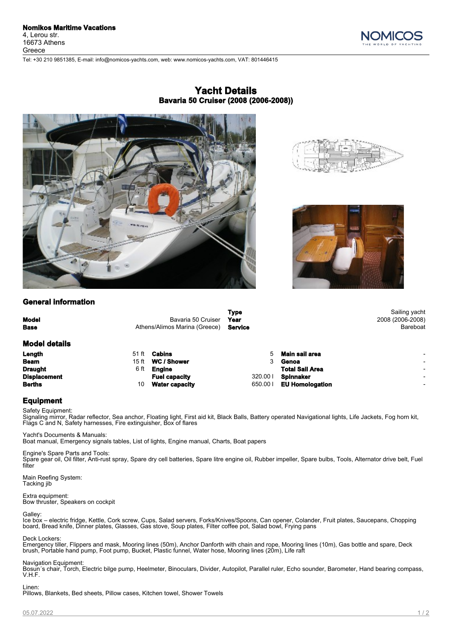Greece



## **Yacht Details Bavaria 50 Cruiser (2008 (2006-2008))**



Tel: +30 210 9851385, E-mail: info@nomicos-yachts.com, web: www.nomicos-yachts.com, VAT: 801446415



# **General information**

| <b>Model</b><br><b>Base</b> | Bavaria 50 Cruiser<br>Athens/Alimos Marina (Greece) |                       | <b>Type</b><br>Year<br>Service |                        | Sailing yacht<br>2008 (2006-2008)<br>Bareboat |
|-----------------------------|-----------------------------------------------------|-----------------------|--------------------------------|------------------------|-----------------------------------------------|
| <b>Model details</b>        |                                                     |                       |                                |                        |                                               |
| Length                      | 51 ft                                               | Cabins                |                                | Main sail area         | $\overline{\phantom{0}}$                      |
| <b>Beam</b>                 | 15 ft                                               | <b>WC / Shower</b>    |                                | Genoa                  | $\overline{\phantom{0}}$                      |
| <b>Draught</b>              | 6 ft                                                | Engine                |                                | <b>Total Sail Area</b> | $\overline{\phantom{0}}$                      |
| <b>Displacement</b>         |                                                     | <b>Fuel capacity</b>  | 320.001                        | <b>Spinnaker</b>       | $\overline{\phantom{0}}$                      |
| <b>Berths</b>               | 10                                                  | <b>Water capacity</b> | 650.001                        | <b>EU Homologation</b> | $\overline{\phantom{0}}$                      |

## **Equipment**

Safety Equipment: Signaling mirror, Radar reflector, Sea anchor, Floating light, First aid kit, Black Balls, Battery operated Navigational lights, Life Jackets, Fog horn kit, Flags C and N, Safety harnesses, Fire extinguisher, Box of flares

Yacht's Documents & Manuals: Boat manual, Emergency signals tables, List of lights, Engine manual, Charts, Boat papers

Engine's Spare Parts and Tools: Spare gear oil, Oil filter, Anti-rust spray, Spare dry cell batteries, Spare litre engine oil, Rubber impeller, Spare bulbs, Tools, Alternator drive belt, Fuel filter

Main Reefing System: Tacking jib

Extra equipment: Bow thruster, Speakers on cockpit

### Galley:

Ice box – electric fridge, Kettle, Cork screw, Cups, Salad servers, Forks/Knives/Spoons, Can opener, Colander, Fruit plates, Saucepans, Chopping board, Bread knife, Dinner plates, Glasses, Gas stove, Soup plates, Filter coffee pot, Salad bowl, Frying pans

Deck Lockers:

Emergency tiller, Flippers and mask, Mooring lines (50m), Anchor Danforth with chain and rope, Mooring lines (10m), Gas bottle and spare, Deck brush, Portable hand pump, Foot pump, Bucket, Plastic funnel, Water hose, Mooring lines (20m), Life raft

Navigation Equipment:

Bosun´s chair, Torch, Electric bilge pump, Ηeelmeter, Binoculars, Divider, Autopilot, Parallel ruler, Echo sounder, Barometer, Hand bearing compass, V.H.F.

Linen:

Pillows, Blankets, Bed sheets, Pillow cases, Kitchen towel, Shower Towels